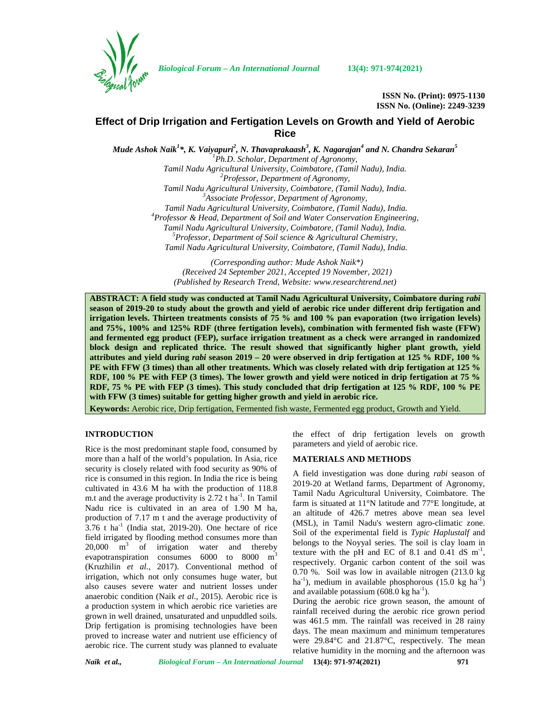

*Biological Forum – An International Journal* **13(4): 971-974(2021)**

**ISSN No. (Print): 0975-1130 ISSN No. (Online): 2249-3239**

# **Effect of Drip Irrigation and Fertigation Levels on Growth and Yield of Aerobic Rice**

*Mude Ashok Naik<sup>1</sup>\*, K. Vaiyapuri<sup>2</sup> , N. Thavaprakaash<sup>3</sup> , K. Nagarajan<sup>4</sup> and N. Chandra Sekaran<sup>5</sup> <sup>1</sup>Ph.D. Scholar, Department of Agronomy, Tamil Nadu Agricultural University, Coimbatore, (Tamil Nadu), India. <sup>2</sup>Professor, Department of Agronomy, Tamil Nadu Agricultural University, Coimbatore, (Tamil Nadu), India. <sup>3</sup>Associate Professor, Department of Agronomy, Tamil Nadu Agricultural University, Coimbatore, (Tamil Nadu), India. <sup>4</sup>Professor & Head, Department of Soil and Water Conservation Engineering, Tamil Nadu Agricultural University, Coimbatore, (Tamil Nadu), India. <sup>5</sup>Professor, Department of Soil science & Agricultural Chemistry, Tamil Nadu Agricultural University, Coimbatore, (Tamil Nadu), India.*

> *(Corresponding author: Mude Ashok Naik\*) (Received 24 September 2021, Accepted 19 November, 2021) (Published by Research Trend, Website: [www.researchtrend.net\)](www.researchtrend.net)*

**ABSTRACT: A field study was conducted at Tamil Nadu Agricultural University, Coimbatore during** *rabi* **season of 2019-20 to study about the growth and yield of aerobic rice under different drip fertigation and irrigation levels. Thirteen treatments consists of 75 % and 100 % pan evaporation (two irrigation levels) and 75%, 100% and 125% RDF (three fertigation levels), combination with fermented fish waste (FFW) and fermented egg product (FEP), surface irrigation treatment as a check were arranged in randomized block design and replicated thrice. The result showed that significantly higher plant growth, yield attributes and yield during** *rabi* **season 2019 – 20 were observed in drip fertigation at 125 % RDF, 100 % PE with FFW (3 times) than all other treatments. Which was closely related with drip fertigation at 125 % RDF, 100 % PE with FEP (3 times). The lower growth and yield were noticed in drip fertigation at 75 % RDF, 75 % PE with FEP (3 times). This study concluded that drip fertigation at 125 % RDF, 100 % PE with FFW (3 times) suitable for getting higher growth and yield in aerobic rice.**

**Keywords:** Aerobic rice, Drip fertigation, Fermented fish waste, Fermented egg product, Growth and Yield.

## **INTRODUCTION**

Rice is the most predominant staple food, consumed by more than a half of the world's population. In Asia, rice security is closely related with food security as 90% of rice is consumed in this region. In India the rice is being cultivated in 43.6 M ha with the production of 118.8 m.t and the average productivity is 2.72 t ha<sup>-1</sup>. In Tamil  $\frac{1}{6}$ Nadu rice is cultivated in an area of 1.90 M ha, production of 7.17 m t and the average productivity of  $3.76$  t ha<sup>-1</sup> (India stat, 2019-20). One hectare of rice field irrigated by flooding method consumes more than 20,000  $\text{m}^3$  of irrigation water and thereby evapotranspiration consumes 6000 to 8000 m<sup>3</sup> (Kruzhilin *et al.,* 2017). Conventional method of irrigation, which not only consumes huge water, but also causes severe water and nutrient losses under anaerobic condition (Naik *et al*., 2015). Aerobic rice is a production system in which aerobic rice varieties are grown in well drained, unsaturated and unpuddled soils. Drip fertigation is promising technologies have been proved to increase water and nutrient use efficiency of aerobic rice. The current study was planned to evaluate

the effect of drip fertigation levels on growth parameters and yield of aerobic rice.

# **MATERIALS AND METHODS**

A field investigation was done during *rabi* season of 2019-20 at Wetland farms, Department of Agronomy, Tamil Nadu Agricultural University, Coimbatore. The farm is situated at 11°N latitude and 77°E longitude, at an altitude of 426.7 metres above mean sea level (MSL), in Tamil Nadu's western agro-climatic zone. Soil of the experimental field is *Typic Haplustalf* and belongs to the Noyyal series. The soil is clay loam in texture with the pH and EC of 8.1 and 0.41 dS  $m^{-1}$ , respectively. Organic carbon content of the soil was 0.70 %. Soil was low in available nitrogen (213.0 kg ha<sup>-1</sup>), medium in available phosphorous  $(15.0 \text{ kg ha}^{-1})$ and available potassium  $(608.0 \text{ kg ha}^{-1})$ .

During the aerobic rice grown season, the amount of rainfall received during the aerobic rice grown period was 461.5 mm. The rainfall was received in 28 rainy days. The mean maximum and minimum temperatures were 29.84°C and 21.87°C, respectively. The mean relative humidity in the morning and the afternoon was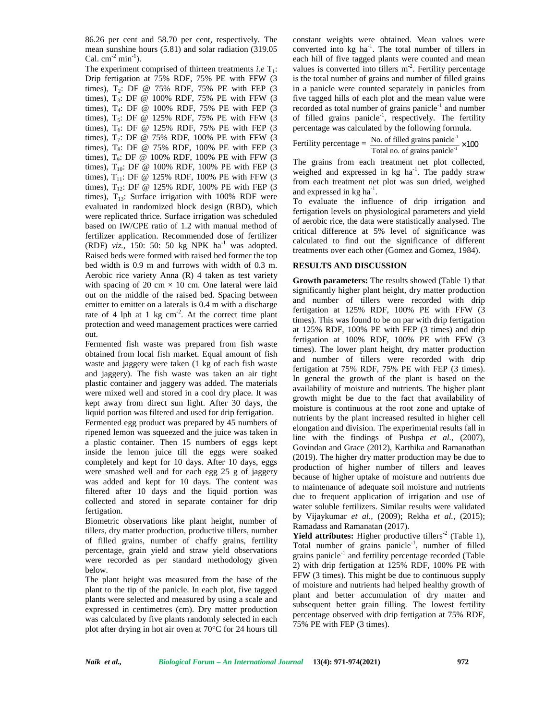86.26 per cent and 58.70 per cent, respectively. The mean sunshine hours (5.81) and solar radiation (319.05 Cal.  $cm<sup>-2</sup> min<sup>-1</sup>$ ).

The experiment comprised of thirteen treatments *i.e*  $T_1$ : Drip fertigation at 75% RDF, 75% PE with FFW (3 times),  $T_2$ : DF @ 75% RDF, 75% PE with FEP (3) times),  $T_3$ : DF @ 100% RDF, 75% PE with FFW  $(3)$ times), T<sub>4</sub>: DF @ 100% RDF, 75% PE with FEP (3) times),  $T_5$ : DF @ 125% RDF, 75% PE with FFW (3 times),  $T_6$ : DF @ 125% RDF, 75% PE with FEP (3 times),  $T_7$ : DF @ 75% RDF, 100% PE with FFW (3 times),  $T_8$ : DF @ 75% RDF, 100% PE with FEP (3 times), T9: DF @ 100% RDF, 100% PE with FFW (3 times),  $T_{10}$ : DF @ 100% RDF, 100% PE with FEP (3 times),  $T_{11}$ : DF @ 125% RDF, 100% PE with FFW (3) times),  $T_{12}$ : DF @ 125% RDF, 100% PE with FEP (3 times),  $T_{13}$ : Surface irrigation with 100% RDF were evaluated in randomized block design (RBD), which were replicated thrice. Surface irrigation was scheduled based on IW/CPE ratio of 1.2 with manual method of fertilizer application. Recommended dose of fertilizer (RDF)  $viz.$ , 150: 50: 50 kg NPK  $ha^{-1}$  was adopted. Raised beds were formed with raised bed former the top bed width is 0.9 m and furrows with width of 0.3 m. Aerobic rice variety Anna (R) 4 taken as test variety with spacing of 20 cm  $\times$  10 cm. One lateral were laid out on the middle of the raised bed. Spacing between emitter to emitter on a laterals is 0.4 m with a discharge rate of 4 lph at 1 kg cm<sup>-2</sup>. At the correct time plant  $\frac{1}{l}$ protection and weed management practices were carried out.

Fermented fish waste was prepared from fish waste obtained from local fish market. Equal amount of fish waste and jaggery were taken (1 kg of each fish waste and jaggery). The fish waste was taken an air tight plastic container and jaggery was added. The materials were mixed well and stored in a cool dry place. It was kept away from direct sun light. After 30 days, the liquid portion was filtered and used for drip fertigation. Fermented egg product was prepared by 45 numbers of ripened lemon was squeezed and the juice was taken in a plastic container. Then 15 numbers of eggs kept inside the lemon juice till the eggs were soaked completely and kept for 10 days. After 10 days, eggs were smashed well and for each egg 25 g of jaggery was added and kept for 10 days. The content was filtered after 10 days and the liquid portion was collected and stored in separate container for drip fertigation.

Biometric observations like plant height, number of tillers, dry matter production, productive tillers, number of filled grains, number of chaffy grains, fertility percentage, grain yield and straw yield observations were recorded as per standard methodology given below.

The plant height was measured from the base of the plant to the tip of the panicle. In each plot, five tagged plants were selected and measured by using a scale and expressed in centimetres (cm). Dry matter production was calculated by five plants randomly selected in each plot after drying in hot air oven at 70°C for 24 hours till constant weights were obtained. Mean values were converted into kg ha<sup>-1</sup>. The total number of tillers in each hill of five tagged plants were counted and mean values is converted into tillers  $m<sup>-2</sup>$ . Fertility percentage is the total number of grains and number of filled grains in a panicle were counted separately in panicles from five tagged hills of each plot and the mean value were recorded as total number of grains panicle<sup>-1</sup> and number of filled grains panicle<sup>-1</sup>, respectively. The fertility percentage was calculated by the following formula.

Fertility percentage =  $\frac{No. \text{ of filled grains panicle}^1}{Total \text{ no. of grains panicle}^1} \times 100$ 

The grains from each treatment net plot collected, weighed and expressed in  $kg$  ha<sup>-1</sup>. The paddy straw from each treatment net plot was sun dried, weighed and expressed in  $kg \text{ ha}^{-1}$ .

To evaluate the influence of drip irrigation and fertigation levels on physiological parameters and yield of aerobic rice, the data were statistically analysed. The critical difference at 5% level of significance was calculated to find out the significance of different treatments over each other (Gomez and Gomez, 1984).

# **RESULTS AND DISCUSSION**

**Growth parameters:** The results showed (Table 1) that significantly higher plant height, dry matter production and number of tillers were recorded with drip fertigation at 125% RDF, 100% PE with FFW (3 times). This was found to be on par with drip fertigation at 125% RDF, 100% PE with FEP (3 times) and drip fertigation at 100% RDF, 100% PE with FFW (3 times). The lower plant height, dry matter production and number of tillers were recorded with drip fertigation at 75% RDF, 75% PE with FEP (3 times). In general the growth of the plant is based on the availability of moisture and nutrients. The higher plant growth might be due to the fact that availability of moisture is continuous at the root zone and uptake of nutrients by the plant increased resulted in higher cell elongation and division. The experimental results fall in line with the findings of Pushpa *et al.,* (2007), Govindan and Grace (2012), Karthika and Ramanathan (2019). The higher dry matter production may be due to production of higher number of tillers and leaves because of higher uptake of moisture and nutrients due to maintenance of adequate soil moisture and nutrients due to frequent application of irrigation and use of water soluble fertilizers. Similar results were validated by Vijaykumar *et al.,* (2009); Rekha *et al.,* (2015); Ramadass and Ramanatan (2017).

**Yield attributes:** Higher productive tillers<sup>-2</sup> (Table 1), Total number of grains panicle<sup>-1</sup>, number of filled grains panicle<sup>-1</sup> and fertility percentage recorded (Table 2) with drip fertigation at 125% RDF, 100% PE with FFW (3 times). This might be due to continuous supply of moisture and nutrients had helped healthy growth of plant and better accumulation of dry matter and subsequent better grain filling. The lowest fertility percentage observed with drip fertigation at 75% RDF, 75% PE with FEP (3 times).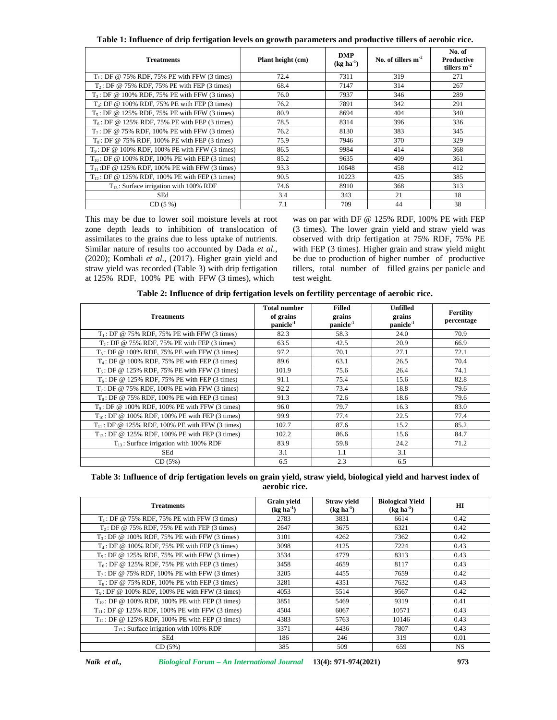**Table 1: Influence of drip fertigation levels on growth parameters and productive tillers of aerobic rice.**

| <b>Treatments</b>                                    | Plant height (cm) | <b>DMP</b><br>$(\text{kg} \text{ha}^{-1})$ | No. of tillers $m-2$ | No. of<br>Productive<br>tillers $m^{-2}$ |
|------------------------------------------------------|-------------------|--------------------------------------------|----------------------|------------------------------------------|
| $T_1$ : DF @ 75% RDF, 75% PE with FFW (3 times)      | 72.4              | 7311                                       | 319                  | 271                                      |
| $T_2$ : DF @ 75% RDF, 75% PE with FEP (3 times)      | 68.4              | 7147                                       | 314                  | 267                                      |
| $T_3$ : DF @ 100% RDF, 75% PE with FFW (3 times)     | 76.0              | 7937                                       | 346                  | 289                                      |
| $T_4$ : DF @ 100% RDF, 75% PE with FEP (3 times)     | 76.2              | 7891                                       | 342                  | 291                                      |
| $T_5$ : DF @ 125% RDF, 75% PE with FFW (3 times)     | 80.9              | 8694                                       | 404                  | 340                                      |
| $T_6$ : DF @ 125% RDF, 75% PE with FEP (3 times)     | 78.5              | 8314                                       | 396                  | 336                                      |
| $T_7$ : DF @ 75% RDF, 100% PE with FFW (3 times)     | 76.2              | 8130                                       | 383                  | 345                                      |
| $T_8$ : DF @ 75% RDF, 100% PE with FEP (3 times)     | 75.9              | 7946                                       | 370                  | 329                                      |
| $T_9$ : DF @ 100% RDF, 100% PE with FFW (3 times)    | 86.5              | 9984                                       | 414                  | 368                                      |
| $T_{10}$ : DF @ 100% RDF, 100% PE with FEP (3 times) | 85.2              | 9635                                       | 409                  | 361                                      |
| $T_{11}$ :DF @ 125% RDF, 100% PE with FFW (3 times)  | 93.3              | 10648                                      | 458                  | 412                                      |
| $T_{12}$ : DF @ 125% RDF, 100% PE with FEP (3 times) | 90.5              | 10223                                      | 425                  | 385                                      |
| $T_{13}$ : Surface irrigation with 100% RDF          | 74.6              | 8910                                       | 368                  | 313                                      |
| SEd                                                  | 3.4               | 343                                        | 21                   | 18                                       |
| CD(5%)                                               | 7.1               | 709                                        | 44                   | 38                                       |

This may be due to lower soil moisture levels at root zone depth leads to inhibition of translocation of assimilates to the grains due to less uptake of nutrients. Similar nature of results too accounted by Dada *et al.,* (2020); Kombali *et al*., (2017). Higher grain yield and straw yield was recorded (Table 3) with drip fertigation at 125% RDF, 100% PE with FFW (3 times), which

was on par with DF @ 125% RDF, 100% PE with FEP (3 times). The lower grain yield and straw yield was observed with drip fertigation at 75% RDF, 75% PE with FEP (3 times). Higher grain and straw yield might be due to production of higher number of productive tillers, total number of filled grains per panicle and test weight.

| <b>Treatments</b>                                    | <b>Total number</b><br>of grains<br>panicle <sup>-1</sup> | <b>Filled</b><br>grains<br>panicle <sup>-1</sup> | Unfilled<br>grains<br>panicle <sup>-1</sup> | <b>Fertility</b><br>percentage |
|------------------------------------------------------|-----------------------------------------------------------|--------------------------------------------------|---------------------------------------------|--------------------------------|
| $T_1$ : DF @ 75% RDF, 75% PE with FFW (3 times)      | 82.3                                                      | 58.3                                             | 24.0                                        | 70.9                           |
| $T_2$ : DF @ 75% RDF, 75% PE with FEP (3 times)      | 63.5                                                      | 42.5                                             | 20.9                                        | 66.9                           |
| $T_3$ : DF @ 100% RDF, 75% PE with FFW (3 times)     | 97.2                                                      | 70.1                                             | 27.1                                        | 72.1                           |
| $T_4$ : DF @ 100% RDF, 75% PE with FEP (3 times)     | 89.6                                                      | 63.1                                             | 26.5                                        | 70.4                           |
| $T_5$ : DF @ 125% RDF, 75% PE with FFW (3 times)     | 101.9                                                     | 75.6                                             | 26.4                                        | 74.1                           |
| $T_6$ : DF @ 125% RDF, 75% PE with FEP (3 times)     | 91.1                                                      | 75.4                                             | 15.6                                        | 82.8                           |
| $T_7$ : DF @ 75% RDF, 100% PE with FFW (3 times)     | 92.2                                                      | 73.4                                             | 18.8                                        | 79.6                           |
| $T_8$ : DF @ 75% RDF, 100% PE with FEP (3 times)     | 91.3                                                      | 72.6                                             | 18.6                                        | 79.6                           |
| $T_9$ : DF @ 100% RDF, 100% PE with FFW (3 times)    | 96.0                                                      | 79.7                                             | 16.3                                        | 83.0                           |
| $T_{10}$ : DF @ 100% RDF, 100% PE with FEP (3 times) | 99.9                                                      | 77.4                                             | 22.5                                        | 77.4                           |
| $T_{11}$ : DF @ 125% RDF, 100% PE with FFW (3 times) | 102.7                                                     | 87.6                                             | 15.2                                        | 85.2                           |
| $T_{12}$ : DF @ 125% RDF, 100% PE with FEP (3 times) | 102.2                                                     | 86.6                                             | 15.6                                        | 84.7                           |
| $T_{13}$ : Surface irrigation with 100% RDF          | 83.9                                                      | 59.8                                             | 24.2                                        | 71.2                           |
| SEd                                                  | 3.1                                                       | 1.1                                              | 3.1                                         |                                |
| CD(5%)                                               | 6.5                                                       | 2.3                                              | 6.5                                         |                                |

**Table 2: Influence of drip fertigation levels on fertility percentage of aerobic rice.**

| Table 3: Influence of drip fertigation levels on grain yield, straw yield, biological yield and harvest index of |  |  |  |  |  |
|------------------------------------------------------------------------------------------------------------------|--|--|--|--|--|
| aerobic rice.                                                                                                    |  |  |  |  |  |

| <b>Treatments</b>                                    | <b>Grain vield</b><br>$(\text{kg} \text{ha}^{-1})$ | <b>Straw vield</b><br>$(\text{kg} \text{ha}^{-1})$ | <b>Biological Yield</b><br>$(\text{kg} \text{ha}^{-1})$ | $\mathbf{H}$ |
|------------------------------------------------------|----------------------------------------------------|----------------------------------------------------|---------------------------------------------------------|--------------|
| $T_1$ : DF @ 75% RDF, 75% PE with FFW (3 times)      | 2783                                               | 3831                                               | 6614                                                    | 0.42         |
| $T_2$ : DF @ 75% RDF, 75% PE with FEP (3 times)      | 2647                                               | 3675                                               | 6321                                                    | 0.42         |
| $T_3$ : DF @ 100% RDF, 75% PE with FFW (3 times)     | 3101                                               | 4262                                               | 7362                                                    | 0.42         |
| $T_4$ : DF @ 100% RDF, 75% PE with FEP (3 times)     | 3098                                               | 4125                                               | 7224                                                    | 0.43         |
| $T_5$ : DF @ 125% RDF, 75% PE with FFW (3 times)     | 3534                                               | 4779                                               | 8313                                                    | 0.43         |
| $T_6$ : DF @ 125% RDF, 75% PE with FEP (3 times)     | 3458                                               | 4659                                               | 8117                                                    | 0.43         |
| $T_7$ : DF @ 75% RDF, 100% PE with FFW (3 times)     | 3205                                               | 4455                                               | 7659                                                    | 0.42         |
| $T_8$ : DF @ 75% RDF, 100% PE with FEP (3 times)     | 3281                                               | 4351                                               | 7632                                                    | 0.43         |
| $T_9$ : DF @ 100% RDF, 100% PE with FFW (3 times)    | 4053                                               | 5514                                               | 9567                                                    | 0.42         |
| $T_{10}$ : DF @ 100% RDF, 100% PE with FEP (3 times) | 3851                                               | 5469                                               | 9319                                                    | 0.41         |
| $T_{11}$ : DF @ 125% RDF, 100% PE with FFW (3 times) | 4504                                               | 6067                                               | 10571                                                   | 0.43         |
| $T_{12}$ : DF @ 125% RDF, 100% PE with FEP (3 times) | 4383                                               | 5763                                               | 10146                                                   | 0.43         |
| $T_{13}$ : Surface irrigation with 100% RDF          | 3371                                               | 4436                                               | 7807                                                    | 0.43         |
| SEd                                                  | 186                                                | 246                                                | 319                                                     | 0.01         |
| CD(5%)                                               | 385                                                | 509                                                | 659                                                     | <b>NS</b>    |

*Naik et al., Biological Forum – An International Journal* **13(4): 971-974(2021) 973**